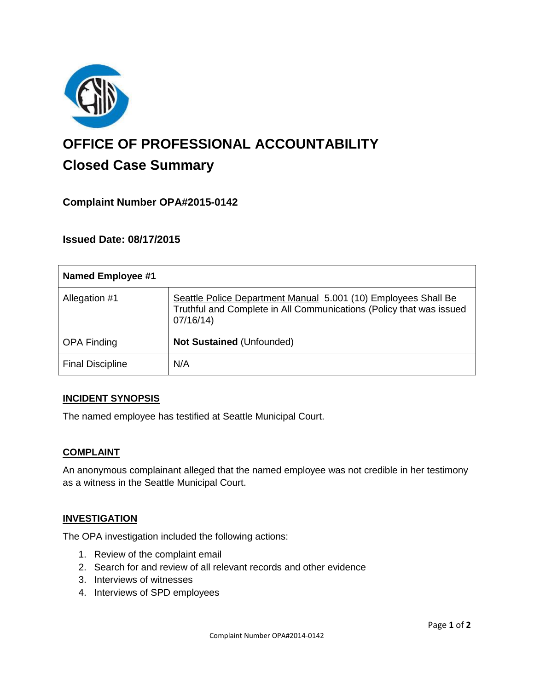

# **OFFICE OF PROFESSIONAL ACCOUNTABILITY Closed Case Summary**

# **Complaint Number OPA#2015-0142**

### **Issued Date: 08/17/2015**

| <b>Named Employee #1</b> |                                                                                                                                                   |
|--------------------------|---------------------------------------------------------------------------------------------------------------------------------------------------|
| Allegation #1            | Seattle Police Department Manual 5.001 (10) Employees Shall Be<br>Truthful and Complete in All Communications (Policy that was issued<br>07/16/14 |
| <b>OPA Finding</b>       | <b>Not Sustained (Unfounded)</b>                                                                                                                  |
| <b>Final Discipline</b>  | N/A                                                                                                                                               |

#### **INCIDENT SYNOPSIS**

The named employee has testified at Seattle Municipal Court.

#### **COMPLAINT**

An anonymous complainant alleged that the named employee was not credible in her testimony as a witness in the Seattle Municipal Court.

#### **INVESTIGATION**

The OPA investigation included the following actions:

- 1. Review of the complaint email
- 2. Search for and review of all relevant records and other evidence
- 3. Interviews of witnesses
- 4. Interviews of SPD employees